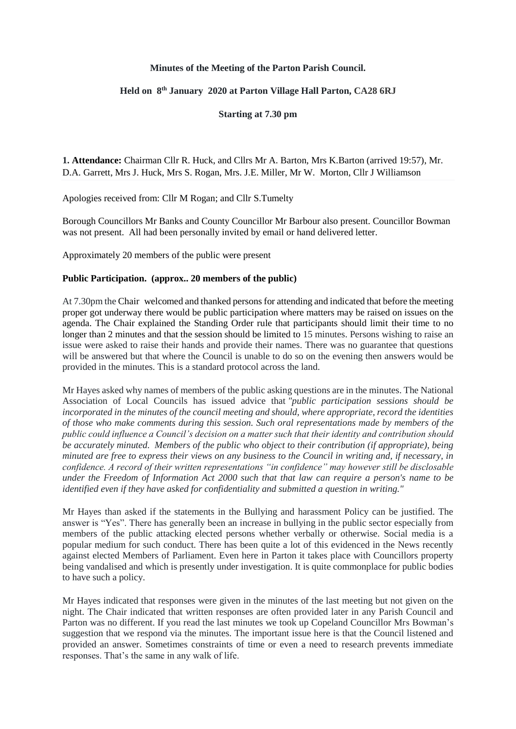## **Minutes of the Meeting of the Parton Parish Council.**

## **Held on 8 th January 2020 at Parton Village Hall Parton, CA28 6RJ**

**Starting at 7.30 pm**

**1. Attendance:** Chairman Cllr R. Huck, and Cllrs Mr A. Barton, Mrs K.Barton (arrived 19:57), Mr. D.A. Garrett, Mrs J. Huck, Mrs S. Rogan, Mrs. J.E. Miller, Mr W. Morton, Cllr J Williamson

Apologies received from: Cllr M Rogan; and Cllr S.Tumelty

Borough Councillors Mr Banks and County Councillor Mr Barbour also present. Councillor Bowman was not present. All had been personally invited by email or hand delivered letter.

Approximately 20 members of the public were present

## **Public Participation. (approx.. 20 members of the public)**

At 7.30pm the Chair welcomed and thanked persons for attending and indicated that before the meeting proper got underway there would be public participation where matters may be raised on issues on the agenda. The Chair explained the Standing Order rule that participants should limit their time to no longer than 2 minutes and that the session should be limited to 15 minutes. Persons wishing to raise an issue were asked to raise their hands and provide their names. There was no guarantee that questions will be answered but that where the Council is unable to do so on the evening then answers would be provided in the minutes. This is a standard protocol across the land.

Mr Hayes asked why names of members of the public asking questions are in the minutes. The National Association of Local Councils has issued advice that *"public participation sessions should be incorporated in the minutes of the council meeting and should, where appropriate, record the identities of those who make comments during this session. Such oral representations made by members of the public could influence a Council's decision on a matter such that their identity and contribution should be accurately minuted. Members of the public who object to their contribution (if appropriate), being minuted are free to express their views on any business to the Council in writing and, if necessary, in confidence. A record of their written representations "in confidence" may however still be disclosable under the Freedom of Information Act 2000 such that that law can require a person's name to be identified even if they have asked for confidentiality and submitted a question in writing."*

Mr Hayes than asked if the statements in the Bullying and harassment Policy can be justified. The answer is "Yes". There has generally been an increase in bullying in the public sector especially from members of the public attacking elected persons whether verbally or otherwise. Social media is a popular medium for such conduct. There has been quite a lot of this evidenced in the News recently against elected Members of Parliament. Even here in Parton it takes place with Councillors property being vandalised and which is presently under investigation. It is quite commonplace for public bodies to have such a policy.

Mr Hayes indicated that responses were given in the minutes of the last meeting but not given on the night. The Chair indicated that written responses are often provided later in any Parish Council and Parton was no different. If you read the last minutes we took up Copeland Councillor Mrs Bowman's suggestion that we respond via the minutes. The important issue here is that the Council listened and provided an answer. Sometimes constraints of time or even a need to research prevents immediate responses. That's the same in any walk of life.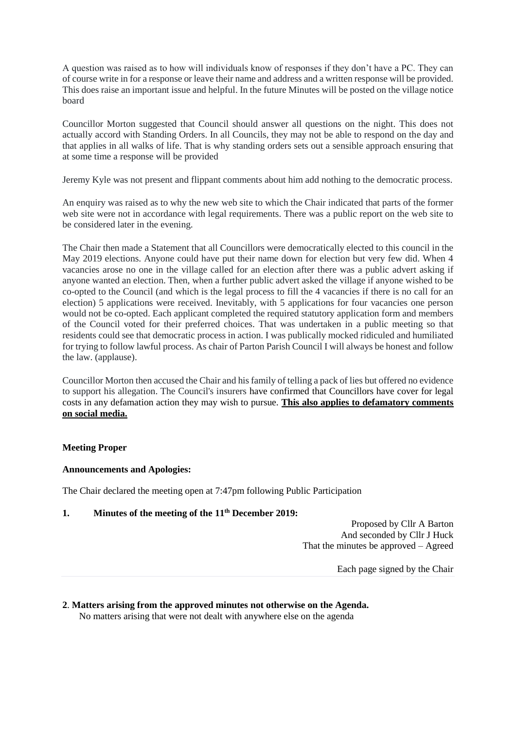A question was raised as to how will individuals know of responses if they don't have a PC. They can of course write in for a response or leave their name and address and a written response will be provided. This does raise an important issue and helpful. In the future Minutes will be posted on the village notice board

Councillor Morton suggested that Council should answer all questions on the night. This does not actually accord with Standing Orders. In all Councils, they may not be able to respond on the day and that applies in all walks of life. That is why standing orders sets out a sensible approach ensuring that at some time a response will be provided

Jeremy Kyle was not present and flippant comments about him add nothing to the democratic process.

An enquiry was raised as to why the new web site to which the Chair indicated that parts of the former web site were not in accordance with legal requirements. There was a public report on the web site to be considered later in the evening.

The Chair then made a Statement that all Councillors were democratically elected to this council in the May 2019 elections. Anyone could have put their name down for election but very few did. When 4 vacancies arose no one in the village called for an election after there was a public advert asking if anyone wanted an election. Then, when a further public advert asked the village if anyone wished to be co-opted to the Council (and which is the legal process to fill the 4 vacancies if there is no call for an election) 5 applications were received. Inevitably, with 5 applications for four vacancies one person would not be co-opted. Each applicant completed the required statutory application form and members of the Council voted for their preferred choices. That was undertaken in a public meeting so that residents could see that democratic process in action. I was publically mocked ridiculed and humiliated for trying to follow lawful process. As chair of Parton Parish Council I will always be honest and follow the law. (applause).

Councillor Morton then accused the Chair and his family of telling a pack of lies but offered no evidence to support his allegation. The Council's insurers have confirmed that Councillors have cover for legal costs in any defamation action they may wish to pursue. **This also applies to defamatory comments on social media.**

# **Meeting Proper**

## **Announcements and Apologies:**

The Chair declared the meeting open at 7:47pm following Public Participation

# **1. Minutes of the meeting of the 11 th December 2019:**

Proposed by Cllr A Barton And seconded by Cllr J Huck That the minutes be approved – Agreed

Each page signed by the Chair

# **2**. **Matters arising from the approved minutes not otherwise on the Agenda.**

No matters arising that were not dealt with anywhere else on the agenda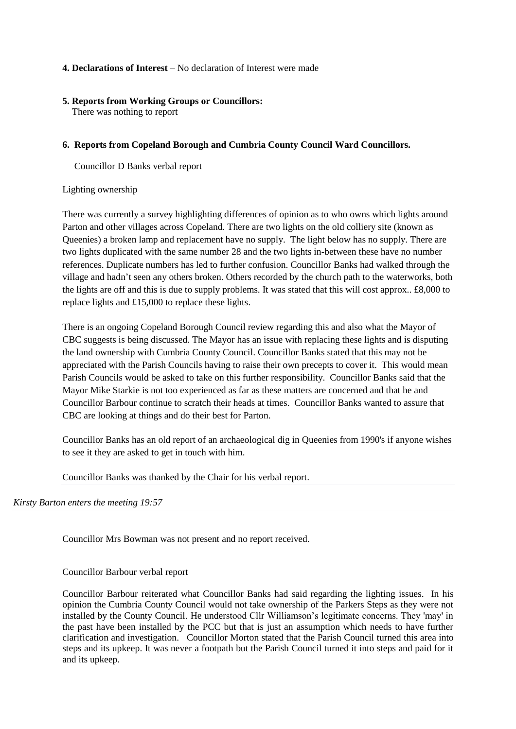## **4. Declarations of Interest** – No declaration of Interest were made

## **5. Reports from Working Groups or Councillors:**

There was nothing to report

## **6. Reports from Copeland Borough and Cumbria County Council Ward Councillors.**

Councillor D Banks verbal report

## Lighting ownership

There was currently a survey highlighting differences of opinion as to who owns which lights around Parton and other villages across Copeland. There are two lights on the old colliery site (known as Queenies) a broken lamp and replacement have no supply. The light below has no supply. There are two lights duplicated with the same number 28 and the two lights in-between these have no number references. Duplicate numbers has led to further confusion. Councillor Banks had walked through the village and hadn't seen any others broken. Others recorded by the church path to the waterworks, both the lights are off and this is due to supply problems. It was stated that this will cost approx.. £8,000 to replace lights and £15,000 to replace these lights.

There is an ongoing Copeland Borough Council review regarding this and also what the Mayor of CBC suggests is being discussed. The Mayor has an issue with replacing these lights and is disputing the land ownership with Cumbria County Council. Councillor Banks stated that this may not be appreciated with the Parish Councils having to raise their own precepts to cover it. This would mean Parish Councils would be asked to take on this further responsibility. Councillor Banks said that the Mayor Mike Starkie is not too experienced as far as these matters are concerned and that he and Councillor Barbour continue to scratch their heads at times. Councillor Banks wanted to assure that CBC are looking at things and do their best for Parton.

Councillor Banks has an old report of an archaeological dig in Queenies from 1990's if anyone wishes to see it they are asked to get in touch with him.

Councillor Banks was thanked by the Chair for his verbal report.

*Kirsty Barton enters the meeting 19:57*

Councillor Mrs Bowman was not present and no report received.

Councillor Barbour verbal report

Councillor Barbour reiterated what Councillor Banks had said regarding the lighting issues. In his opinion the Cumbria County Council would not take ownership of the Parkers Steps as they were not installed by the County Council. He understood Cllr Williamson's legitimate concerns. They 'may' in the past have been installed by the PCC but that is just an assumption which needs to have further clarification and investigation. Councillor Morton stated that the Parish Council turned this area into steps and its upkeep. It was never a footpath but the Parish Council turned it into steps and paid for it and its upkeep.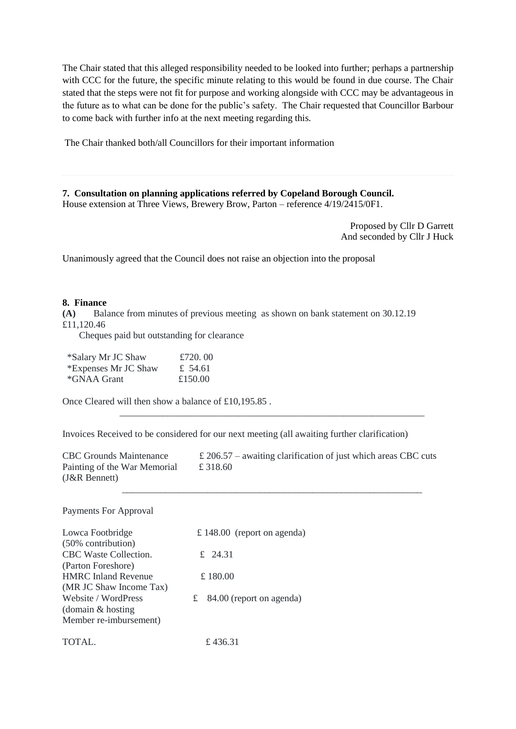The Chair stated that this alleged responsibility needed to be looked into further; perhaps a partnership with CCC for the future, the specific minute relating to this would be found in due course. The Chair stated that the steps were not fit for purpose and working alongside with CCC may be advantageous in the future as to what can be done for the public's safety. The Chair requested that Councillor Barbour to come back with further info at the next meeting regarding this.

The Chair thanked both/all Councillors for their important information

**7. Consultation on planning applications referred by Copeland Borough Council.** House extension at Three Views, Brewery Brow, Parton – reference 4/19/2415/0F1.

> Proposed by Cllr D Garrett And seconded by Cllr J Huck

Unanimously agreed that the Council does not raise an objection into the proposal

#### **8. Finance**

**(A)** Balance from minutes of previous meeting as shown on bank statement on 30.12.19 £11,120.46

Cheques paid but outstanding for clearance

| *Salary Mr JC Shaw   | £720.00 |  |
|----------------------|---------|--|
| *Expenses Mr JC Shaw | £ 54.61 |  |
| *GNAA Grant          | £150.00 |  |

Once Cleared will then show a balance of £10,195.85 .

Invoices Received to be considered for our next meeting (all awaiting further clarification)

CBC Grounds Maintenance  $\pounds 206.57$  – awaiting clarification of just which areas CBC cuts Painting of the War Memorial £ 318.60 (J&R Bennett)

\_\_\_\_\_\_\_\_\_\_\_\_\_\_\_\_\_\_\_\_\_\_\_\_\_\_\_\_\_\_\_\_\_\_\_\_\_\_\_\_\_\_\_\_\_\_\_\_\_\_\_\_\_\_\_\_\_\_\_\_\_\_\_\_

\_\_\_\_\_\_\_\_\_\_\_\_\_\_\_\_\_\_\_\_\_\_\_\_\_\_\_\_\_\_\_\_\_\_\_\_\_\_\_\_\_\_\_\_\_\_\_\_\_\_\_\_\_\_\_\_\_\_\_\_\_\_\_

Payments For Approval

| Lowca Footbridge           | £ 148.00 (report on agenda) |
|----------------------------|-----------------------------|
| (50% contribution)         |                             |
| CBC Waste Collection.      | £ 24.31                     |
| (Parton Foreshore)         |                             |
| <b>HMRC</b> Inland Revenue | £ 180.00                    |
| (MR JC Shaw Income Tax)    |                             |
| Website / WordPress        | £ 84.00 (report on agenda)  |
| (domain $&$ hosting        |                             |
| Member re-imbursement)     |                             |
| TOTAL.                     | £436.31                     |
|                            |                             |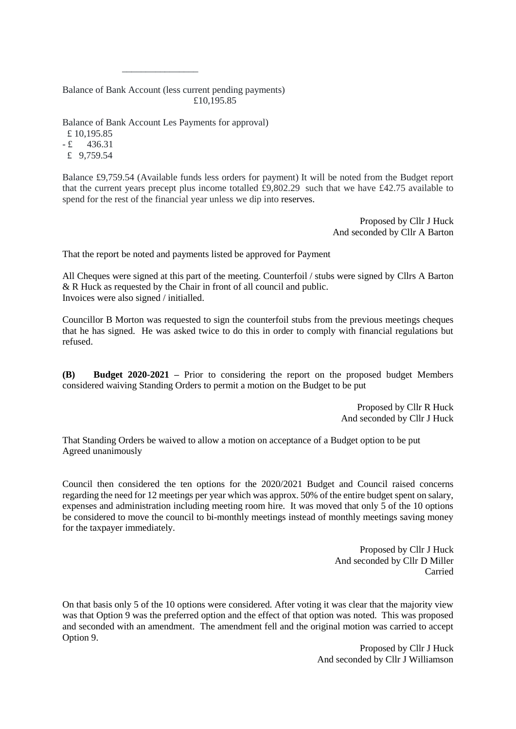Balance of Bank Account (less current pending payments) £10,195.85

Balance of Bank Account Les Payments for approval)

\_\_\_\_\_\_\_\_\_\_\_\_\_\_\_\_

£ 10,195.85  $-E = 436.31$ £ 9,759.54

Balance £9,759.54 (Available funds less orders for payment) It will be noted from the Budget report that the current years precept plus income totalled £9,802.29 such that we have £42.75 available to spend for the rest of the financial year unless we dip into reserves.

> Proposed by Cllr J Huck And seconded by Cllr A Barton

That the report be noted and payments listed be approved for Payment

All Cheques were signed at this part of the meeting. Counterfoil / stubs were signed by Cllrs A Barton & R Huck as requested by the Chair in front of all council and public. Invoices were also signed / initialled.

Councillor B Morton was requested to sign the counterfoil stubs from the previous meetings cheques that he has signed. He was asked twice to do this in order to comply with financial regulations but refused.

**(B) Budget 2020-2021 –** Prior to considering the report on the proposed budget Members considered waiving Standing Orders to permit a motion on the Budget to be put

> Proposed by Cllr R Huck And seconded by Cllr J Huck

That Standing Orders be waived to allow a motion on acceptance of a Budget option to be put Agreed unanimously

Council then considered the ten options for the 2020/2021 Budget and Council raised concerns regarding the need for 12 meetings per year which was approx. 50% of the entire budget spent on salary, expenses and administration including meeting room hire. It was moved that only 5 of the 10 options be considered to move the council to bi-monthly meetings instead of monthly meetings saving money for the taxpayer immediately.

> Proposed by Cllr J Huck And seconded by Cllr D Miller Carried

On that basis only 5 of the 10 options were considered. After voting it was clear that the majority view was that Option 9 was the preferred option and the effect of that option was noted. This was proposed and seconded with an amendment. The amendment fell and the original motion was carried to accept Option 9.

> Proposed by Cllr J Huck And seconded by Cllr J Williamson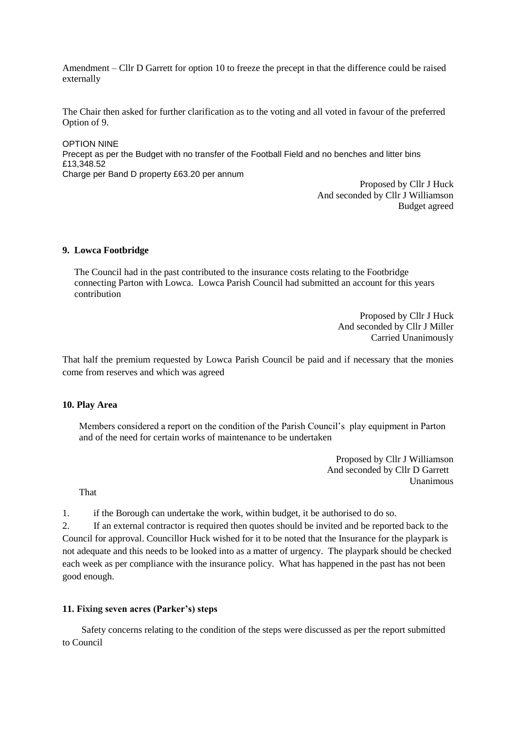Amendment – Cllr D Garrett for option 10 to freeze the precept in that the difference could be raised externally

The Chair then asked for further clarification as to the voting and all voted in favour of the preferred Option of 9.

OPTION NINE Precept as per the Budget with no transfer of the Football Field and no benches and litter bins £13,348.52 Charge per Band D property £63.20 per annum

Proposed by Cllr J Huck And seconded by Cllr J Williamson Budget agreed

#### **9. Lowca Footbridge**

 The Council had in the past contributed to the insurance costs relating to the Footbridge connecting Parton with Lowca. Lowca Parish Council had submitted an account for this years contribution

> Proposed by Cllr J Huck And seconded by Cllr J Miller Carried Unanimously

That half the premium requested by Lowca Parish Council be paid and if necessary that the monies come from reserves and which was agreed

#### **10. Play Area**

 Members considered a report on the condition of the Parish Council's play equipment in Parton and of the need for certain works of maintenance to be undertaken

> Proposed by Cllr J Williamson And seconded by Cllr D Garrett Unanimous

That

1. if the Borough can undertake the work, within budget, it be authorised to do so.

2. If an external contractor is required then quotes should be invited and be reported back to the Council for approval. Councillor Huck wished for it to be noted that the Insurance for the playpark is not adequate and this needs to be looked into as a matter of urgency. The playpark should be checked each week as per compliance with the insurance policy. What has happened in the past has not been good enough.

#### **11. Fixing seven acres (Parker's) steps**

 Safety concerns relating to the condition of the steps were discussed as per the report submitted to Council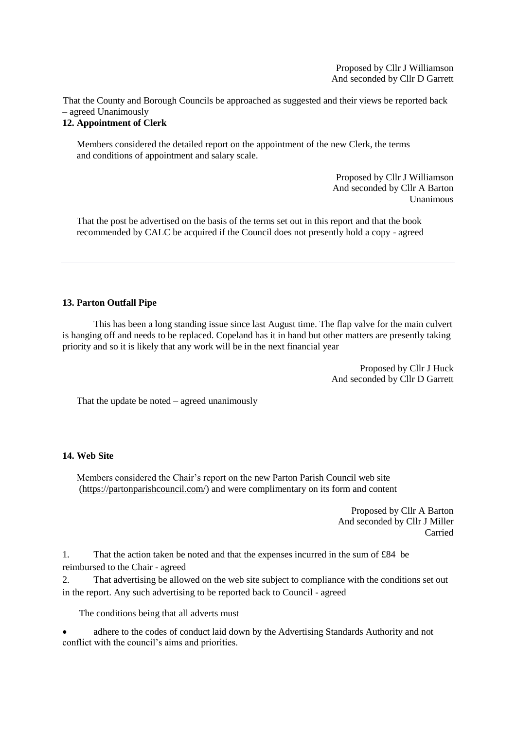Proposed by Cllr J Williamson And seconded by Cllr D Garrett

That the County and Borough Councils be approached as suggested and their views be reported back – agreed Unanimously

## **12. Appointment of Clerk**

Members considered the detailed report on the appointment of the new Clerk, the terms and conditions of appointment and salary scale.

> Proposed by Cllr J Williamson And seconded by Cllr A Barton Unanimous

 That the post be advertised on the basis of the terms set out in this report and that the book recommended by CALC be acquired if the Council does not presently hold a copy - agreed

## **13. Parton Outfall Pipe**

This has been a long standing issue since last August time. The flap valve for the main culvert is hanging off and needs to be replaced. Copeland has it in hand but other matters are presently taking priority and so it is likely that any work will be in the next financial year

> Proposed by Cllr J Huck And seconded by Cllr D Garrett

That the update be noted – agreed unanimously

## **14. Web Site**

Members considered the Chair's report on the new Parton Parish Council web site [\(https://partonparishcouncil.com/\)](https://partonparishcouncil.com/) and were complimentary on its form and content

> Proposed by Cllr A Barton And seconded by Cllr J Miller Carried

1. That the action taken be noted and that the expenses incurred in the sum of £84 be reimbursed to the Chair - agreed

2. That advertising be allowed on the web site subject to compliance with the conditions set out in the report. Any such advertising to be reported back to Council - agreed

The conditions being that all adverts must

 adhere to the codes of conduct laid down by the Advertising Standards Authority and not conflict with the council's aims and priorities.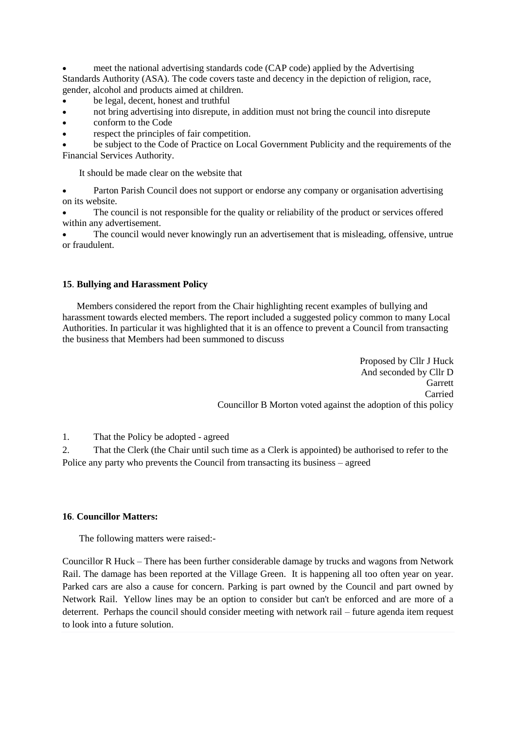meet the national advertising standards code (CAP code) applied by the Advertising Standards Authority (ASA). The code covers taste and decency in the depiction of religion, race, gender, alcohol and products aimed at children.

- be legal, decent, honest and truthful
- not bring advertising into disrepute, in addition must not bring the council into disrepute
- conform to the Code
- respect the principles of fair competition.

 be subject to the Code of Practice on Local Government Publicity and the requirements of the Financial Services Authority.

It should be made clear on the website that

 Parton Parish Council does not support or endorse any company or organisation advertising on its website.

 The council is not responsible for the quality or reliability of the product or services offered within any advertisement.

 The council would never knowingly run an advertisement that is misleading, offensive, untrue or fraudulent.

## **15**. **Bullying and Harassment Policy**

 Members considered the report from the Chair highlighting recent examples of bullying and harassment towards elected members. The report included a suggested policy common to many Local Authorities. In particular it was highlighted that it is an offence to prevent a Council from transacting the business that Members had been summoned to discuss

> Proposed by Cllr J Huck And seconded by Cllr D Garrett Carried Councillor B Morton voted against the adoption of this policy

1. That the Policy be adopted - agreed

2. That the Clerk (the Chair until such time as a Clerk is appointed) be authorised to refer to the Police any party who prevents the Council from transacting its business – agreed

## **16**. **Councillor Matters:**

The following matters were raised:-

Councillor R Huck – There has been further considerable damage by trucks and wagons from Network Rail. The damage has been reported at the Village Green. It is happening all too often year on year. Parked cars are also a cause for concern. Parking is part owned by the Council and part owned by Network Rail. Yellow lines may be an option to consider but can't be enforced and are more of a deterrent. Perhaps the council should consider meeting with network rail – future agenda item request to look into a future solution.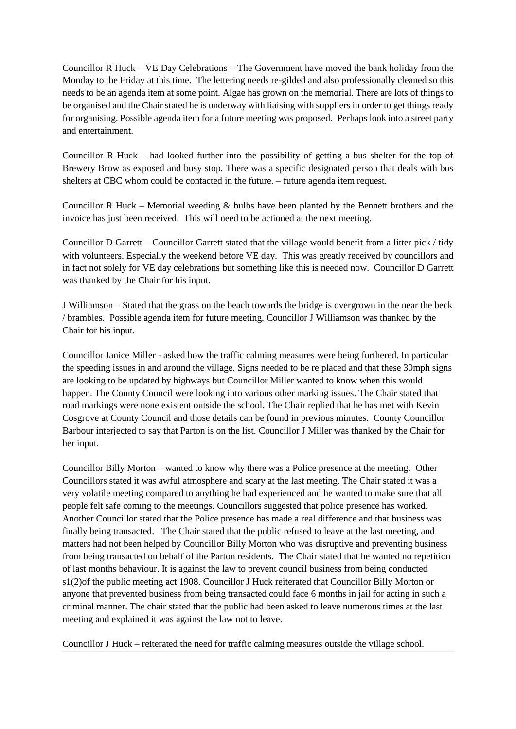Councillor R Huck – VE Day Celebrations – The Government have moved the bank holiday from the Monday to the Friday at this time. The lettering needs re-gilded and also professionally cleaned so this needs to be an agenda item at some point. Algae has grown on the memorial. There are lots of things to be organised and the Chair stated he is underway with liaising with suppliers in order to get things ready for organising. Possible agenda item for a future meeting was proposed. Perhaps look into a street party and entertainment.

Councillor R Huck – had looked further into the possibility of getting a bus shelter for the top of Brewery Brow as exposed and busy stop. There was a specific designated person that deals with bus shelters at CBC whom could be contacted in the future. – future agenda item request.

Councillor R Huck – Memorial weeding & bulbs have been planted by the Bennett brothers and the invoice has just been received. This will need to be actioned at the next meeting.

Councillor D Garrett – Councillor Garrett stated that the village would benefit from a litter pick / tidy with volunteers. Especially the weekend before VE day. This was greatly received by councillors and in fact not solely for VE day celebrations but something like this is needed now. Councillor D Garrett was thanked by the Chair for his input.

J Williamson – Stated that the grass on the beach towards the bridge is overgrown in the near the beck / brambles. Possible agenda item for future meeting. Councillor J Williamson was thanked by the Chair for his input.

Councillor Janice Miller - asked how the traffic calming measures were being furthered. In particular the speeding issues in and around the village. Signs needed to be re placed and that these 30mph signs are looking to be updated by highways but Councillor Miller wanted to know when this would happen. The County Council were looking into various other marking issues. The Chair stated that road markings were none existent outside the school. The Chair replied that he has met with Kevin Cosgrove at County Council and those details can be found in previous minutes. County Councillor Barbour interjected to say that Parton is on the list. Councillor J Miller was thanked by the Chair for her input.

Councillor Billy Morton – wanted to know why there was a Police presence at the meeting. Other Councillors stated it was awful atmosphere and scary at the last meeting. The Chair stated it was a very volatile meeting compared to anything he had experienced and he wanted to make sure that all people felt safe coming to the meetings. Councillors suggested that police presence has worked. Another Councillor stated that the Police presence has made a real difference and that business was finally being transacted. The Chair stated that the public refused to leave at the last meeting, and matters had not been helped by Councillor Billy Morton who was disruptive and preventing business from being transacted on behalf of the Parton residents. The Chair stated that he wanted no repetition of last months behaviour. It is against the law to prevent council business from being conducted s1(2)of the public meeting act 1908. Councillor J Huck reiterated that Councillor Billy Morton or anyone that prevented business from being transacted could face 6 months in jail for acting in such a criminal manner. The chair stated that the public had been asked to leave numerous times at the last meeting and explained it was against the law not to leave.

Councillor J Huck – reiterated the need for traffic calming measures outside the village school.